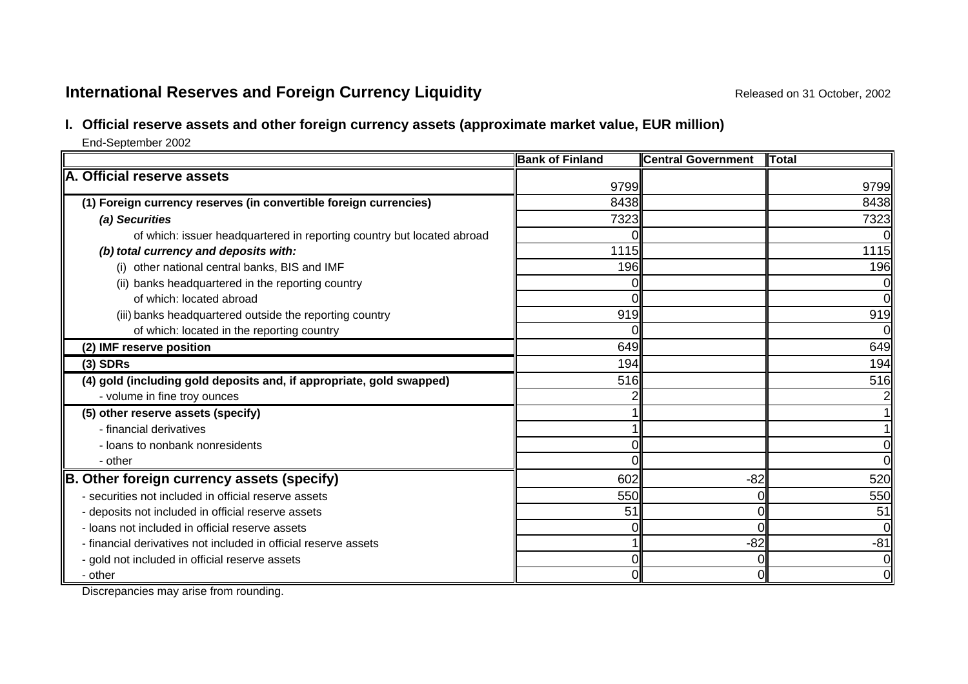# **International Reserves and Foreign Currency Liquidity Released on 31 October, 2002** Released on 31 October, 2002

# **I. Official reserve assets and other foreign currency assets (approximate market value, EUR million)**

End-September 2002

|                                                                        | <b>Bank of Finland</b> | <b>Central Government</b> | Total          |
|------------------------------------------------------------------------|------------------------|---------------------------|----------------|
| A. Official reserve assets                                             | 9799                   |                           | 9799           |
| (1) Foreign currency reserves (in convertible foreign currencies)      | 8438                   |                           | 8438           |
| (a) Securities                                                         | 7323                   |                           | 7323           |
| of which: issuer headquartered in reporting country but located abroad |                        |                           | ΩI             |
| (b) total currency and deposits with:                                  | 1115                   |                           | 1115           |
| (i) other national central banks, BIS and IMF                          | 196                    |                           | 196            |
| (ii) banks headquartered in the reporting country                      |                        |                           | 0l             |
| of which: located abroad                                               |                        |                           | $\overline{O}$ |
| (iii) banks headquartered outside the reporting country                | 919                    |                           | 919            |
| of which: located in the reporting country                             |                        |                           | 0              |
| (2) IMF reserve position                                               | 649                    |                           | 649            |
| $(3)$ SDRs                                                             | 194                    |                           | 194            |
| (4) gold (including gold deposits and, if appropriate, gold swapped)   | 516                    |                           | 516            |
| - volume in fine troy ounces                                           |                        |                           |                |
| (5) other reserve assets (specify)                                     |                        |                           | 11             |
| - financial derivatives                                                |                        |                           |                |
| - loans to nonbank nonresidents                                        |                        |                           | 0              |
| - other                                                                |                        |                           | Οl             |
| B. Other foreign currency assets (specify)                             | 602                    | $-82$                     | 520            |
| - securities not included in official reserve assets                   | 550                    |                           | 550            |
| - deposits not included in official reserve assets                     | 51                     |                           | 51             |
| - loans not included in official reserve assets                        |                        |                           | ΩI             |
| - financial derivatives not included in official reserve assets        |                        | $-82$                     | $-81$          |
| - gold not included in official reserve assets                         |                        |                           | Οl             |
| - other                                                                |                        |                           | $\overline{O}$ |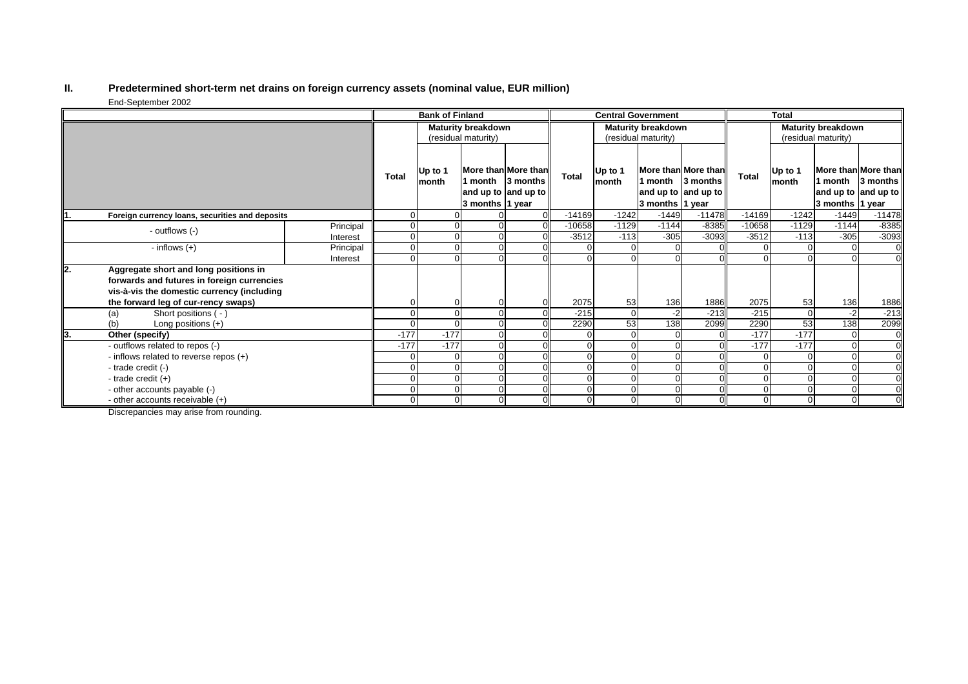#### **II. Predetermined short-term net drains on foreign currency assets (nominal value, EUR million)** End-September 2002

|    |                                                                                                                                                                          |           | <b>Bank of Finland</b>    |                  |                     | <b>Central Government</b>                                       |          |                     |                 | <b>Total</b>                                                    |                           |                     |                            |                                                        |
|----|--------------------------------------------------------------------------------------------------------------------------------------------------------------------------|-----------|---------------------------|------------------|---------------------|-----------------------------------------------------------------|----------|---------------------|-----------------|-----------------------------------------------------------------|---------------------------|---------------------|----------------------------|--------------------------------------------------------|
|    |                                                                                                                                                                          |           | <b>Maturity breakdown</b> |                  |                     | <b>Maturity breakdown</b>                                       |          |                     |                 |                                                                 | <b>Maturity breakdown</b> |                     |                            |                                                        |
|    |                                                                                                                                                                          |           |                           |                  | (residual maturity) |                                                                 |          | (residual maturity) |                 |                                                                 |                           | (residual maturity) |                            |                                                        |
|    |                                                                                                                                                                          |           | <b>Total</b>              | Up to 1<br>month | 3 months 1 year     | More than More than<br>1 month 13 months<br>and up to and up to | Total    | Up to 1<br>month    | 3 months 1 year | More than More than<br>1 month 13 months<br>and up to and up to | <b>Total</b>              | Up to 1<br>month    | 1 month<br>3 months 1 year | More than More than<br>3 months<br>and up to and up to |
|    | Foreign currency loans, securities and deposits                                                                                                                          |           | 0                         |                  |                     |                                                                 | $-14169$ | $-1242$             | $-1449$         | $-11478$                                                        | $-14169$                  | $-1242$             | $-1449$                    | $-11478$                                               |
|    | - outflows (-)                                                                                                                                                           | Principal | 0                         |                  |                     |                                                                 | $-10658$ | $-1129$             | $-1144$         | $-8385$                                                         | $-10658$                  | $-1129$             | $-1144$                    | $-8385$                                                |
|    |                                                                                                                                                                          | Interest  | $\overline{0}$            |                  |                     |                                                                 | $-3512$  | $-113$              | $-305$          | $-3093$                                                         | $-3512$                   | $-113$              | $-305$                     | $-3093$                                                |
|    | - inflows $(+)$                                                                                                                                                          | Principal | 0                         |                  |                     |                                                                 |          |                     |                 |                                                                 |                           |                     |                            |                                                        |
|    |                                                                                                                                                                          | Interest  | $\Omega$                  |                  |                     |                                                                 |          |                     |                 |                                                                 |                           |                     |                            |                                                        |
| 2. | Aggregate short and long positions in<br>forwards and futures in foreign currencies<br>vis-à-vis the domestic currency (including<br>the forward leg of cur-rency swaps) |           | 0                         |                  |                     |                                                                 | 2075     | 53                  | 136             | 1886                                                            | 2075                      | 53                  | 136                        | 1886                                                   |
|    | Short positions ( - )<br>(a)                                                                                                                                             |           | $\Omega$                  |                  |                     |                                                                 | $-215$   | $\Omega$            | $-2$            | $-213$                                                          | $-215$                    | $\mathbf 0$         | $-2$                       | $-213$                                                 |
|    | (b)<br>Long positions $(+)$                                                                                                                                              |           | 0                         |                  |                     |                                                                 | 2290     | 53                  | 138             | 2099                                                            | 2290                      | 53                  | 138                        | 2099                                                   |
| 3. | Other (specify)                                                                                                                                                          |           | $-177$                    | $-177$           |                     |                                                                 |          |                     |                 |                                                                 | $-177$                    | $-177$              |                            |                                                        |
|    | - outflows related to repos (-)                                                                                                                                          |           | $-177$                    | $-177$           |                     |                                                                 |          |                     |                 |                                                                 | $-177$                    | $-177$              |                            |                                                        |
|    | - inflows related to reverse repos (+)                                                                                                                                   |           | 0                         |                  |                     |                                                                 |          | $\sqrt{ }$          |                 |                                                                 | $\Omega$                  | $\Omega$            |                            | $\overline{0}$                                         |
|    | - trade credit (-)                                                                                                                                                       |           | 0                         |                  |                     |                                                                 |          |                     |                 |                                                                 |                           |                     |                            | $\overline{0}$                                         |
|    | - trade credit $(+)$                                                                                                                                                     |           | 0                         |                  |                     |                                                                 |          |                     | $\Omega$        |                                                                 |                           | 0                   |                            |                                                        |
|    | - other accounts payable (-)                                                                                                                                             |           | 0                         |                  |                     |                                                                 |          |                     | $\Omega$        |                                                                 |                           | $\Omega$            |                            |                                                        |
|    | - other accounts receivable (+)                                                                                                                                          |           | $\overline{0}$            |                  | $\overline{0}$      |                                                                 |          |                     | $\Omega$        |                                                                 | $\overline{0}$            | $\overline{0}$      |                            |                                                        |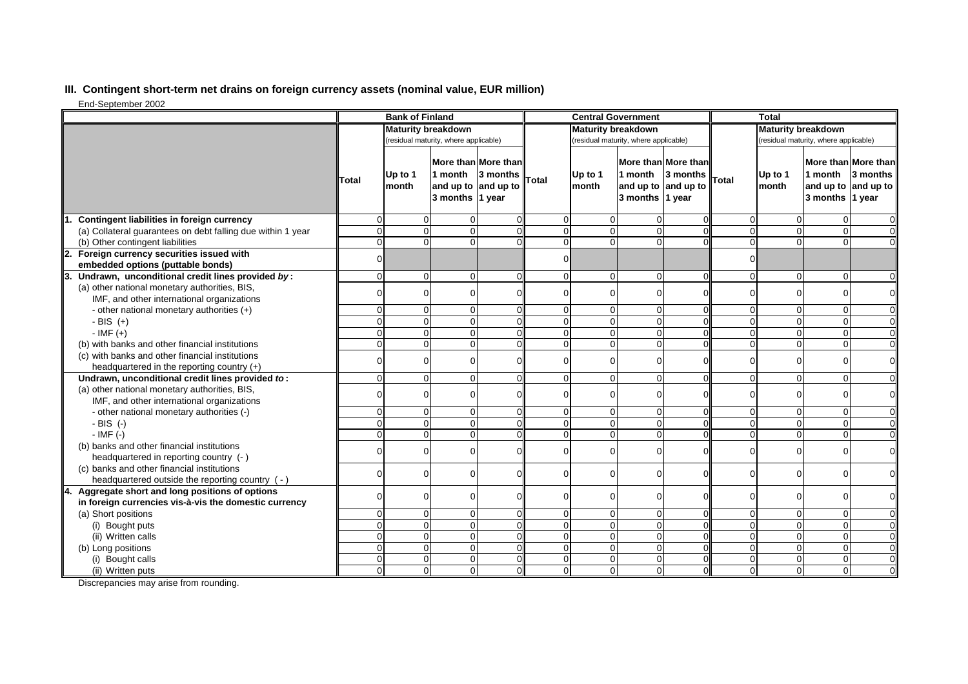## **III. Contingent short-term net drains on foreign currency assets (nominal value, EUR million)**

End-September 2002

|                                                                                               | <b>Bank of Finland</b>                |                  |                                                                          | <b>Central Government</b> |                |                                       |                                                   | <b>Total</b>                    |                                       |                  |                            |                                                        |
|-----------------------------------------------------------------------------------------------|---------------------------------------|------------------|--------------------------------------------------------------------------|---------------------------|----------------|---------------------------------------|---------------------------------------------------|---------------------------------|---------------------------------------|------------------|----------------------------|--------------------------------------------------------|
|                                                                                               | <b>Maturity breakdown</b>             |                  |                                                                          | <b>Maturity breakdown</b> |                |                                       |                                                   | <b>Maturity breakdown</b>       |                                       |                  |                            |                                                        |
|                                                                                               | (residual maturity, where applicable) |                  |                                                                          |                           |                | (residual maturity, where applicable) |                                                   |                                 | (residual maturity, where applicable) |                  |                            |                                                        |
|                                                                                               | Total                                 | Up to 1<br>month | More than More than<br>1 month<br>and up to and up to<br>3 months 1 year | 3 months                  | <b>Total</b>   | Up to $1$<br>month                    | 1 month<br>and up to and up to<br>3 months 1 year | More than More than<br>3 months | Total                                 | Up to 1<br>month | 1 month<br>3 months 1 year | More than More than<br>3 months<br>and up to and up to |
| <b>Contingent liabilities in foreign currency</b>                                             | $\Omega$                              | $\Omega$         | $\Omega$                                                                 |                           | $\Omega$       | $\mathbf 0$                           |                                                   | 0                               | $\Omega$                              |                  | 0                          | $\overline{0}$                                         |
| (a) Collateral guarantees on debt falling due within 1 year                                   | $\Omega$                              | $\overline{0}$   | $\Omega$                                                                 |                           | $\overline{0}$ | $\mathbf 0$                           | $\Omega$                                          | $\Omega$                        | $\Omega$                              | $\Omega$         | $\overline{0}$             | οl                                                     |
| (b) Other contingent liabilities                                                              | $\mathbf{O}$                          | $\Omega$         | $\Omega$                                                                 |                           | $\Omega$       | $\Omega$                              | $\Omega$                                          | $\Omega$                        | $\Omega$                              | $\Omega$         | $\overline{0}$             | $\mathbf 0$                                            |
| Foreign currency securities issued with                                                       | $\Omega$                              |                  |                                                                          |                           | $\Omega$       |                                       |                                                   |                                 | $\Omega$                              |                  |                            |                                                        |
| embedded options (puttable bonds)                                                             |                                       |                  |                                                                          |                           |                |                                       |                                                   |                                 |                                       |                  |                            |                                                        |
| Undrawn, unconditional credit lines provided by:                                              | $\overline{0}$                        | $\overline{0}$   | $\mathbf 0$                                                              |                           | $\Omega$       | $\mathbf 0$                           | $\Omega$                                          | $\Omega$                        | $\Omega$                              | $\Omega$         | 0                          | ΟI                                                     |
| (a) other national monetary authorities, BIS,<br>IMF, and other international organizations   | $\Omega$                              | 0                | $\Omega$                                                                 |                           | $\Omega$       | $\Omega$                              |                                                   |                                 | $\Omega$                              | $\Omega$         | 0                          | $\overline{0}$                                         |
| - other national monetary authorities $(+)$                                                   | $\Omega$                              | $\Omega$         | $\Omega$                                                                 |                           | $\Omega$       | $\mathbf 0$                           | $\Omega$                                          | $\Omega$                        | $\Omega$                              | $\Omega$         | $\overline{0}$             | $\overline{0}$                                         |
| $-BIS (+)$                                                                                    | $\Omega$                              | 0                | $\Omega$                                                                 |                           | $\Omega$       | $\Omega$                              | $\Omega$                                          | $\Omega$                        | $\Omega$                              | $\Omega$         | $\mathbf 0$                | $\overline{0}$                                         |
| $-IMF (+)$                                                                                    | $\Omega$                              | $\Omega$         | $\Omega$                                                                 |                           | $\Omega$       | $\Omega$                              | $\Omega$                                          | $\Omega$                        | $\Omega$                              | $\Omega$         | $\overline{0}$             | ΟI                                                     |
| (b) with banks and other financial institutions                                               | $\Omega$                              | $\Omega$         | $\Omega$                                                                 |                           | $\Omega$       | $\Omega$                              | $\Omega$                                          | $\Omega$                        | $\Omega$                              | $\Omega$         | $\mathbf 0$                | $\overline{0}$                                         |
| (c) with banks and other financial institutions                                               |                                       |                  |                                                                          |                           |                |                                       |                                                   |                                 |                                       |                  |                            |                                                        |
| headquartered in the reporting country $(+)$                                                  | $\Omega$                              | 0                | $\Omega$                                                                 |                           | $\Omega$       | $\Omega$                              |                                                   |                                 | $\Omega$                              | $\Omega$         | 0                          | $\circ$                                                |
| Undrawn, unconditional credit lines provided to:                                              | $\Omega$                              | 0                | $\Omega$                                                                 |                           | $\Omega$       | $\Omega$                              | $\Omega$                                          | $\Omega$                        | $\Omega$                              | $\Omega$         | 0                          | ΟI                                                     |
| (a) other national monetary authorities, BIS,                                                 |                                       |                  |                                                                          |                           |                |                                       |                                                   |                                 |                                       |                  |                            |                                                        |
| IMF, and other international organizations                                                    | $\Omega$                              | 0                | $\Omega$                                                                 |                           | $\Omega$       | $\Omega$                              |                                                   |                                 |                                       | ∩                | $\Omega$                   | οl                                                     |
| - other national monetary authorities (-)                                                     | $\Omega$                              | $\Omega$         | $\Omega$                                                                 |                           | $\Omega$       | $\Omega$                              |                                                   | $\Omega$                        | $\Omega$                              | ∩                | 0                          | $\Omega$                                               |
| $-BIS$ (-)                                                                                    | $\overline{0}$                        | $\overline{0}$   | $\mathbf 0$                                                              |                           | $\overline{0}$ | $\mathbf 0$                           | $\Omega$                                          | $\Omega$                        | $\Omega$                              | $\Omega$         | $\pmb{0}$                  | $\overline{0}$                                         |
| $-IMF(-)$                                                                                     | $\Omega$                              | $\Omega$         | $\Omega$                                                                 |                           | $\Omega$       | $\Omega$                              |                                                   |                                 | $\Omega$                              | $\Omega$         | 0                          | $\overline{0}$                                         |
| (b) banks and other financial institutions                                                    | $\Omega$                              | 0                | $\Omega$                                                                 |                           | $\Omega$       | $\Omega$                              |                                                   |                                 | $\Omega$                              | ∩                | 0                          | $\overline{O}$                                         |
| headquartered in reporting country (- )                                                       |                                       |                  |                                                                          |                           |                |                                       |                                                   |                                 |                                       |                  |                            |                                                        |
| (c) banks and other financial institutions<br>headquartered outside the reporting country (-) | ∩                                     | 0                | $\Omega$                                                                 |                           | $\Omega$       | $\Omega$                              |                                                   | $\Omega$                        | $\Omega$                              | $\Omega$         | 0                          | Οl                                                     |
| 4.<br>Aggregate short and long positions of options                                           | $\Omega$                              | $\overline{0}$   | $\Omega$                                                                 |                           | $\Omega$       | $\mathbf 0$                           |                                                   | $\Omega$                        | $\Omega$                              | $\Omega$         | 0                          | ΟI                                                     |
| in foreign currencies vis-à-vis the domestic currency                                         |                                       |                  |                                                                          |                           |                |                                       |                                                   |                                 |                                       |                  |                            |                                                        |
| (a) Short positions                                                                           | $\Omega$                              | $\overline{0}$   | $\Omega$                                                                 |                           | $\Omega$       | $\Omega$                              | $\Omega$                                          | $\Omega$                        | $\Omega$                              | $\Omega$         | $\overline{0}$             | $\overline{0}$                                         |
| (i) Bought puts                                                                               | $\mathbf{O}$                          | $\overline{0}$   | $\mathbf 0$                                                              |                           | $\overline{0}$ | $\mathbf 0$                           | $\Omega$                                          | $\Omega$                        | $\Omega$                              | $\Omega$         | $\pmb{0}$                  | $\overline{0}$                                         |
| (ii) Written calls                                                                            | $\Omega$                              | $\overline{0}$   | $\Omega$                                                                 |                           | $\Omega$       | $\mathbf 0$                           | $\Omega$                                          | $\Omega$                        | $\Omega$                              | $\Omega$         | $\overline{0}$             | $\overline{0}$                                         |
| (b) Long positions                                                                            | $\Omega$                              | $\Omega$         | $\Omega$                                                                 |                           | $\Omega$       | $\mathbf 0$                           | $\Omega$                                          | $\Omega$                        | $\Omega$                              | $\Omega$         | 0                          | $\overline{0}$                                         |
| (i) Bought calls                                                                              | $\overline{0}$                        | $\Omega$         | $\Omega$                                                                 |                           | $\Omega$       | $\mathbf 0$                           | $\Omega$                                          | $\Omega$                        | $\Omega$                              | $\Omega$         | $\mathbf 0$                | $\overline{O}$                                         |
| (ii) Written puts                                                                             | $\Omega$                              | $\overline{0}$   | $\Omega$                                                                 |                           | $\overline{0}$ | $\Omega$                              | $\Omega$                                          | $\Omega$                        | $\Omega$                              | $\Omega$         | $\overline{0}$             | $\overline{0}$                                         |